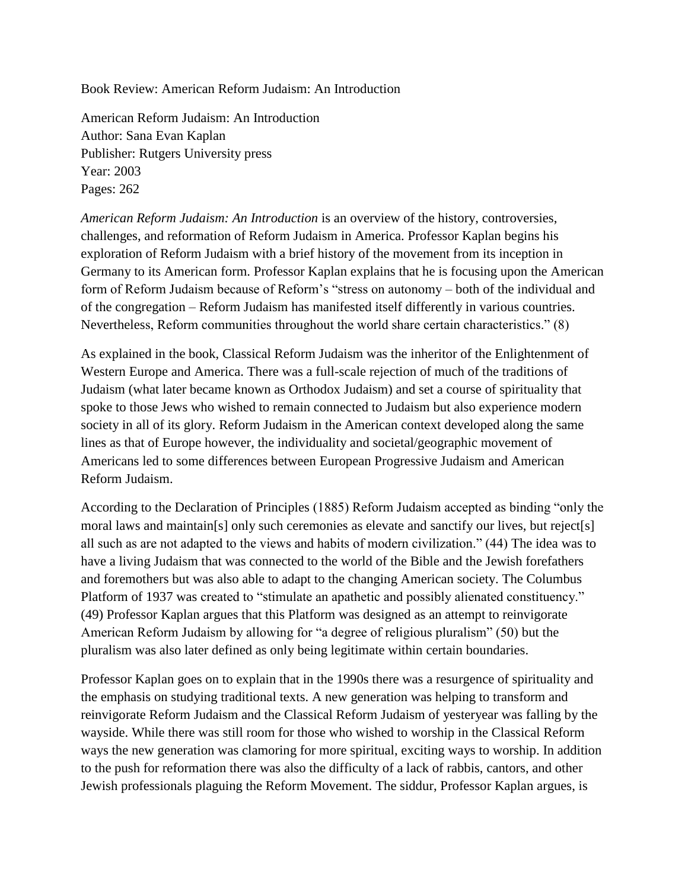Book Review: American Reform Judaism: An Introduction

American Reform Judaism: An Introduction Author: Sana Evan Kaplan Publisher: Rutgers University press Year: 2003 Pages: 262

*American Reform Judaism: An Introduction* is an overview of the history, controversies, challenges, and reformation of Reform Judaism in America. Professor Kaplan begins his exploration of Reform Judaism with a brief history of the movement from its inception in Germany to its American form. Professor Kaplan explains that he is focusing upon the American form of Reform Judaism because of Reform's "stress on autonomy – both of the individual and of the congregation – Reform Judaism has manifested itself differently in various countries. Nevertheless, Reform communities throughout the world share certain characteristics." (8)

As explained in the book, Classical Reform Judaism was the inheritor of the Enlightenment of Western Europe and America. There was a full-scale rejection of much of the traditions of Judaism (what later became known as Orthodox Judaism) and set a course of spirituality that spoke to those Jews who wished to remain connected to Judaism but also experience modern society in all of its glory. Reform Judaism in the American context developed along the same lines as that of Europe however, the individuality and societal/geographic movement of Americans led to some differences between European Progressive Judaism and American Reform Judaism.

According to the Declaration of Principles (1885) Reform Judaism accepted as binding "only the moral laws and maintain[s] only such ceremonies as elevate and sanctify our lives, but reject[s] all such as are not adapted to the views and habits of modern civilization." (44) The idea was to have a living Judaism that was connected to the world of the Bible and the Jewish forefathers and foremothers but was also able to adapt to the changing American society. The Columbus Platform of 1937 was created to "stimulate an apathetic and possibly alienated constituency." (49) Professor Kaplan argues that this Platform was designed as an attempt to reinvigorate American Reform Judaism by allowing for "a degree of religious pluralism" (50) but the pluralism was also later defined as only being legitimate within certain boundaries.

Professor Kaplan goes on to explain that in the 1990s there was a resurgence of spirituality and the emphasis on studying traditional texts. A new generation was helping to transform and reinvigorate Reform Judaism and the Classical Reform Judaism of yesteryear was falling by the wayside. While there was still room for those who wished to worship in the Classical Reform ways the new generation was clamoring for more spiritual, exciting ways to worship. In addition to the push for reformation there was also the difficulty of a lack of rabbis, cantors, and other Jewish professionals plaguing the Reform Movement. The siddur, Professor Kaplan argues, is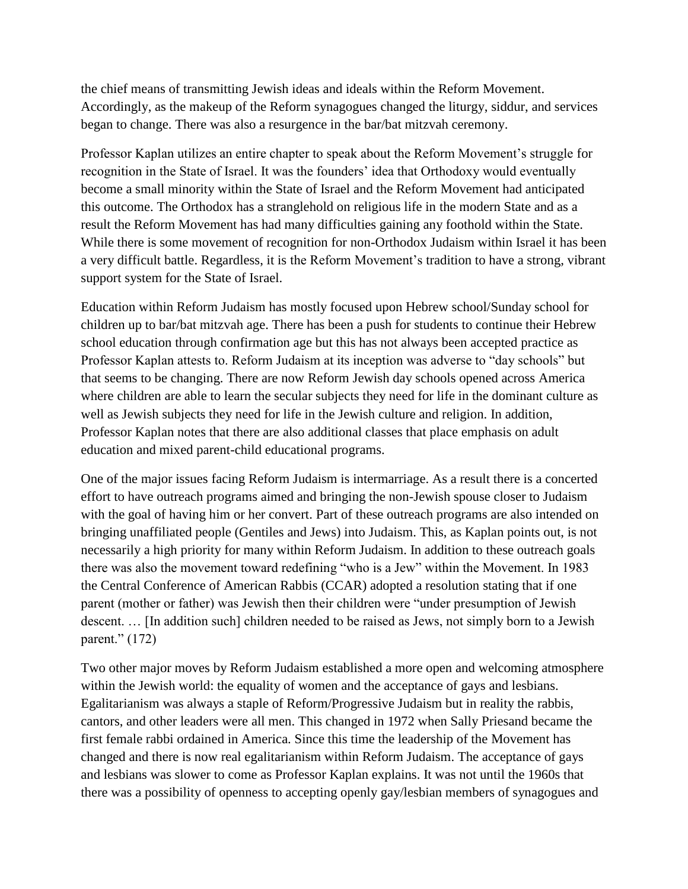the chief means of transmitting Jewish ideas and ideals within the Reform Movement. Accordingly, as the makeup of the Reform synagogues changed the liturgy, siddur, and services began to change. There was also a resurgence in the bar/bat mitzvah ceremony.

Professor Kaplan utilizes an entire chapter to speak about the Reform Movement's struggle for recognition in the State of Israel. It was the founders' idea that Orthodoxy would eventually become a small minority within the State of Israel and the Reform Movement had anticipated this outcome. The Orthodox has a stranglehold on religious life in the modern State and as a result the Reform Movement has had many difficulties gaining any foothold within the State. While there is some movement of recognition for non-Orthodox Judaism within Israel it has been a very difficult battle. Regardless, it is the Reform Movement's tradition to have a strong, vibrant support system for the State of Israel.

Education within Reform Judaism has mostly focused upon Hebrew school/Sunday school for children up to bar/bat mitzvah age. There has been a push for students to continue their Hebrew school education through confirmation age but this has not always been accepted practice as Professor Kaplan attests to. Reform Judaism at its inception was adverse to "day schools" but that seems to be changing. There are now Reform Jewish day schools opened across America where children are able to learn the secular subjects they need for life in the dominant culture as well as Jewish subjects they need for life in the Jewish culture and religion. In addition, Professor Kaplan notes that there are also additional classes that place emphasis on adult education and mixed parent-child educational programs.

One of the major issues facing Reform Judaism is intermarriage. As a result there is a concerted effort to have outreach programs aimed and bringing the non-Jewish spouse closer to Judaism with the goal of having him or her convert. Part of these outreach programs are also intended on bringing unaffiliated people (Gentiles and Jews) into Judaism. This, as Kaplan points out, is not necessarily a high priority for many within Reform Judaism. In addition to these outreach goals there was also the movement toward redefining "who is a Jew" within the Movement. In 1983 the Central Conference of American Rabbis (CCAR) adopted a resolution stating that if one parent (mother or father) was Jewish then their children were "under presumption of Jewish descent. … [In addition such] children needed to be raised as Jews, not simply born to a Jewish parent." (172)

Two other major moves by Reform Judaism established a more open and welcoming atmosphere within the Jewish world: the equality of women and the acceptance of gays and lesbians. Egalitarianism was always a staple of Reform/Progressive Judaism but in reality the rabbis, cantors, and other leaders were all men. This changed in 1972 when Sally Priesand became the first female rabbi ordained in America. Since this time the leadership of the Movement has changed and there is now real egalitarianism within Reform Judaism. The acceptance of gays and lesbians was slower to come as Professor Kaplan explains. It was not until the 1960s that there was a possibility of openness to accepting openly gay/lesbian members of synagogues and